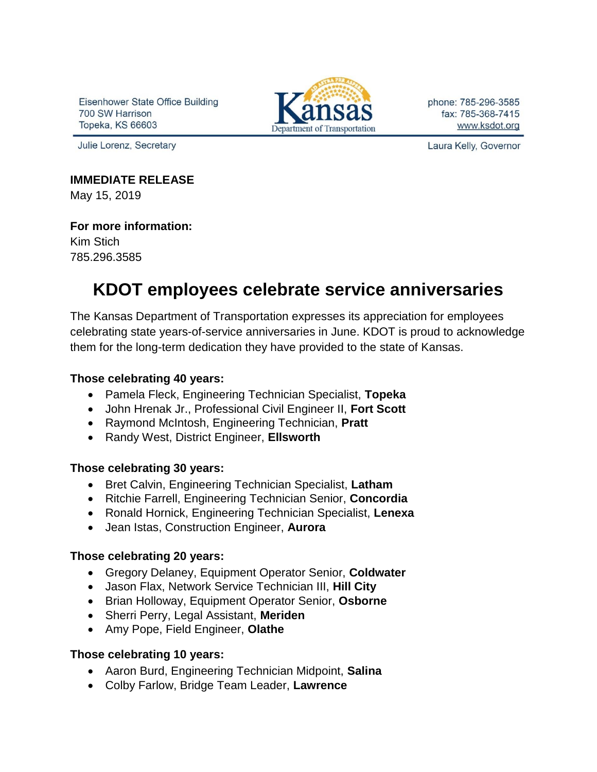Eisenhower State Office Building 700 SW Harrison Topeka, KS 66603

Julie Lorenz, Secretary



phone: 785-296-3585 fax: 785-368-7415 www.ksdot.org

Laura Kelly, Governor

### **IMMEDIATE RELEASE**

May 15, 2019

### **For more information:**

Kim Stich 785.296.3585

# **KDOT employees celebrate service anniversaries**

The Kansas Department of Transportation expresses its appreciation for employees celebrating state years-of-service anniversaries in June. KDOT is proud to acknowledge them for the long-term dedication they have provided to the state of Kansas.

### **Those celebrating 40 years:**

- Pamela Fleck, Engineering Technician Specialist, **Topeka**
- John Hrenak Jr., Professional Civil Engineer II, **Fort Scott**
- Raymond McIntosh, Engineering Technician, **Pratt**
- Randy West, District Engineer, **Ellsworth**

### **Those celebrating 30 years:**

- Bret Calvin, Engineering Technician Specialist, **Latham**
- Ritchie Farrell, Engineering Technician Senior, **Concordia**
- Ronald Hornick, Engineering Technician Specialist, **Lenexa**
- Jean Istas, Construction Engineer, **Aurora**

### **Those celebrating 20 years:**

- Gregory Delaney, Equipment Operator Senior, **Coldwater**
- Jason Flax, Network Service Technician III, **Hill City**
- Brian Holloway, Equipment Operator Senior, **Osborne**
- Sherri Perry, Legal Assistant, **Meriden**
- Amy Pope, Field Engineer, **Olathe**

## **Those celebrating 10 years:**

- Aaron Burd, Engineering Technician Midpoint, **Salina**
- Colby Farlow, Bridge Team Leader, **Lawrence**